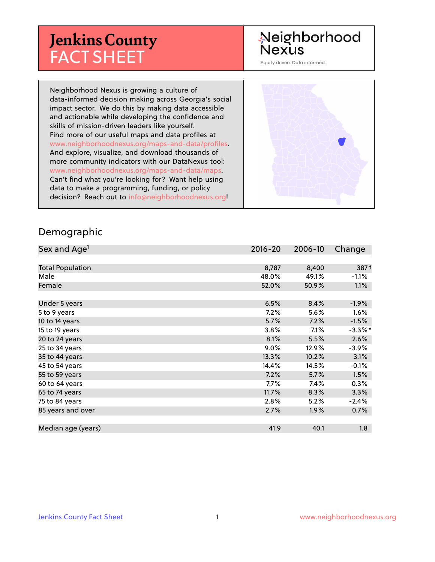# **Jenkins County** FACT SHEET

# Neighborhood **Nexus**

Equity driven. Data informed.

Neighborhood Nexus is growing a culture of data-informed decision making across Georgia's social impact sector. We do this by making data accessible and actionable while developing the confidence and skills of mission-driven leaders like yourself. Find more of our useful maps and data profiles at www.neighborhoodnexus.org/maps-and-data/profiles. And explore, visualize, and download thousands of more community indicators with our DataNexus tool: www.neighborhoodnexus.org/maps-and-data/maps. Can't find what you're looking for? Want help using data to make a programming, funding, or policy decision? Reach out to [info@neighborhoodnexus.org!](mailto:info@neighborhoodnexus.org)



#### Demographic

| Sex and Age <sup>1</sup> | $2016 - 20$ | 2006-10 | Change           |
|--------------------------|-------------|---------|------------------|
|                          |             |         |                  |
| <b>Total Population</b>  | 8,787       | 8,400   | 387 <sup>†</sup> |
| Male                     | 48.0%       | 49.1%   | $-1.1%$          |
| Female                   | 52.0%       | 50.9%   | $1.1\%$          |
|                          |             |         |                  |
| Under 5 years            | 6.5%        | 8.4%    | $-1.9\%$         |
| 5 to 9 years             | $7.2\%$     | 5.6%    | $1.6\%$          |
| 10 to 14 years           | 5.7%        | 7.2%    | $-1.5%$          |
| 15 to 19 years           | 3.8%        | 7.1%    | $-3.3\%$ *       |
| 20 to 24 years           | 8.1%        | 5.5%    | 2.6%             |
| 25 to 34 years           | $9.0\%$     | 12.9%   | $-3.9%$          |
| 35 to 44 years           | 13.3%       | 10.2%   | 3.1%             |
| 45 to 54 years           | 14.4%       | 14.5%   | $-0.1%$          |
| 55 to 59 years           | 7.2%        | 5.7%    | 1.5%             |
| 60 to 64 years           | $7.7\%$     | 7.4%    | 0.3%             |
| 65 to 74 years           | 11.7%       | 8.3%    | 3.3%             |
| 75 to 84 years           | 2.8%        | 5.2%    | $-2.4%$          |
| 85 years and over        | 2.7%        | 1.9%    | 0.7%             |
|                          |             |         |                  |
| Median age (years)       | 41.9        | 40.1    | 1.8              |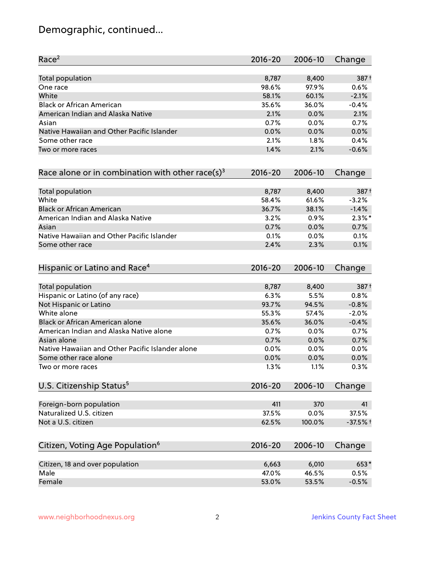# Demographic, continued...

| Race <sup>2</sup>                                            | $2016 - 20$ | 2006-10 | Change     |
|--------------------------------------------------------------|-------------|---------|------------|
| <b>Total population</b>                                      | 8,787       | 8,400   | 387+       |
| One race                                                     | 98.6%       | 97.9%   | 0.6%       |
| White                                                        | 58.1%       | 60.1%   | $-2.1%$    |
| <b>Black or African American</b>                             | 35.6%       | 36.0%   | $-0.4%$    |
| American Indian and Alaska Native                            | 2.1%        | 0.0%    | 2.1%       |
| Asian                                                        | 0.7%        | $0.0\%$ | 0.7%       |
| Native Hawaiian and Other Pacific Islander                   | 0.0%        | 0.0%    | 0.0%       |
| Some other race                                              | 2.1%        | 1.8%    | 0.4%       |
| Two or more races                                            | 1.4%        | 2.1%    | $-0.6%$    |
| Race alone or in combination with other race(s) <sup>3</sup> | $2016 - 20$ | 2006-10 | Change     |
| Total population                                             | 8,787       | 8,400   | 387+       |
| White                                                        | 58.4%       | 61.6%   | $-3.2%$    |
| <b>Black or African American</b>                             | 36.7%       | 38.1%   | $-1.4%$    |
| American Indian and Alaska Native                            | 3.2%        | 0.9%    | $2.3\%$ *  |
| Asian                                                        | 0.7%        | 0.0%    | 0.7%       |
| Native Hawaiian and Other Pacific Islander                   | 0.1%        | 0.0%    | 0.1%       |
| Some other race                                              | 2.4%        | 2.3%    | 0.1%       |
| Hispanic or Latino and Race <sup>4</sup>                     | $2016 - 20$ | 2006-10 | Change     |
| <b>Total population</b>                                      | 8,787       | 8,400   | 387+       |
| Hispanic or Latino (of any race)                             | 6.3%        | 5.5%    | 0.8%       |
| Not Hispanic or Latino                                       | 93.7%       | 94.5%   | $-0.8%$    |
| White alone                                                  | 55.3%       | 57.4%   | $-2.0%$    |
| Black or African American alone                              | 35.6%       | 36.0%   | $-0.4%$    |
| American Indian and Alaska Native alone                      | 0.7%        | 0.0%    | 0.7%       |
| Asian alone                                                  | 0.7%        | 0.0%    | 0.7%       |
| Native Hawaiian and Other Pacific Islander alone             | 0.0%        | $0.0\%$ | 0.0%       |
| Some other race alone                                        | 0.0%        | 0.0%    | 0.0%       |
| Two or more races                                            | 1.3%        | 1.1%    | 0.3%       |
| U.S. Citizenship Status <sup>5</sup>                         | $2016 - 20$ | 2006-10 | Change     |
| Foreign-born population                                      | 411         | 370     | 41         |
| Naturalized U.S. citizen                                     | 37.5%       | 0.0%    | 37.5%      |
| Not a U.S. citizen                                           | 62.5%       | 100.0%  | $-37.5%$ + |
|                                                              |             |         |            |
| Citizen, Voting Age Population <sup>6</sup>                  | $2016 - 20$ | 2006-10 | Change     |
| Citizen, 18 and over population                              | 6,663       | 6,010   | 653*       |
| Male                                                         | 47.0%       | 46.5%   | 0.5%       |
| Female                                                       | 53.0%       | 53.5%   | $-0.5%$    |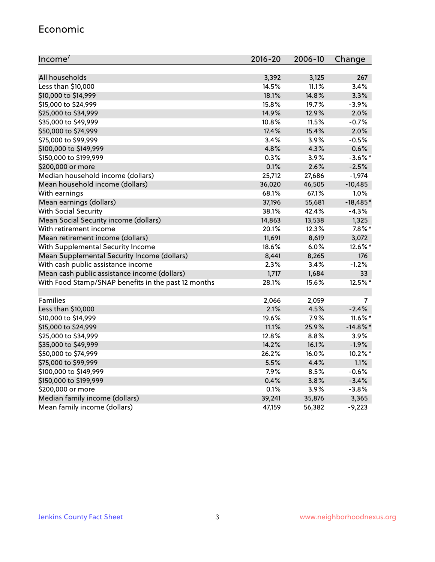#### Economic

| Income <sup>7</sup>                                 | $2016 - 20$ | 2006-10 | Change      |
|-----------------------------------------------------|-------------|---------|-------------|
|                                                     |             |         |             |
| All households                                      | 3,392       | 3,125   | 267         |
| Less than \$10,000                                  | 14.5%       | 11.1%   | 3.4%        |
| \$10,000 to \$14,999                                | 18.1%       | 14.8%   | 3.3%        |
| \$15,000 to \$24,999                                | 15.8%       | 19.7%   | $-3.9%$     |
| \$25,000 to \$34,999                                | 14.9%       | 12.9%   | 2.0%        |
| \$35,000 to \$49,999                                | 10.8%       | 11.5%   | $-0.7%$     |
| \$50,000 to \$74,999                                | 17.4%       | 15.4%   | 2.0%        |
| \$75,000 to \$99,999                                | 3.4%        | 3.9%    | $-0.5%$     |
| \$100,000 to \$149,999                              | 4.8%        | 4.3%    | 0.6%        |
| \$150,000 to \$199,999                              | 0.3%        | 3.9%    | $-3.6\%$ *  |
| \$200,000 or more                                   | 0.1%        | 2.6%    | $-2.5%$     |
| Median household income (dollars)                   | 25,712      | 27,686  | $-1,974$    |
| Mean household income (dollars)                     | 36,020      | 46,505  | $-10,485$   |
| With earnings                                       | 68.1%       | 67.1%   | 1.0%        |
| Mean earnings (dollars)                             | 37,196      | 55,681  | $-18,485*$  |
| <b>With Social Security</b>                         | 38.1%       | 42.4%   | $-4.3%$     |
| Mean Social Security income (dollars)               | 14,863      | 13,538  | 1,325       |
| With retirement income                              | 20.1%       | 12.3%   | $7.8\%$ *   |
| Mean retirement income (dollars)                    | 11,691      | 8,619   | 3,072       |
| With Supplemental Security Income                   | 18.6%       | 6.0%    | 12.6%*      |
| Mean Supplemental Security Income (dollars)         | 8,441       | 8,265   | 176         |
| With cash public assistance income                  | 2.3%        | 3.4%    | $-1.2%$     |
| Mean cash public assistance income (dollars)        | 1,717       | 1,684   | 33          |
| With Food Stamp/SNAP benefits in the past 12 months | 28.1%       | 15.6%   | 12.5%*      |
|                                                     |             |         |             |
| Families                                            | 2,066       | 2,059   | 7           |
| Less than \$10,000                                  | 2.1%        | 4.5%    | $-2.4%$     |
| \$10,000 to \$14,999                                | 19.6%       | 7.9%    | $11.6\%$ *  |
| \$15,000 to \$24,999                                | 11.1%       | 25.9%   | $-14.8\%$ * |
| \$25,000 to \$34,999                                | 12.8%       | 8.8%    | 3.9%        |
| \$35,000 to \$49,999                                | 14.2%       | 16.1%   | $-1.9%$     |
| \$50,000 to \$74,999                                | 26.2%       | 16.0%   | 10.2%*      |
| \$75,000 to \$99,999                                | 5.5%        | 4.4%    | 1.1%        |
| \$100,000 to \$149,999                              | 7.9%        | 8.5%    | $-0.6%$     |
| \$150,000 to \$199,999                              | 0.4%        | 3.8%    | $-3.4%$     |
| \$200,000 or more                                   | 0.1%        | 3.9%    | $-3.8%$     |
| Median family income (dollars)                      | 39,241      | 35,876  | 3,365       |
| Mean family income (dollars)                        | 47,159      | 56,382  | $-9,223$    |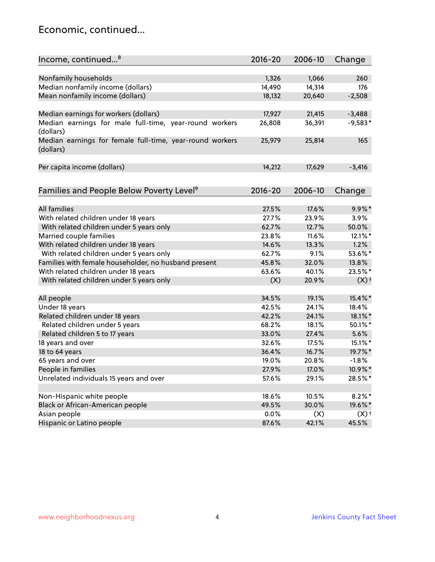### Economic, continued...

| Income, continued <sup>8</sup>                                        | $2016 - 20$ | 2006-10 | Change             |
|-----------------------------------------------------------------------|-------------|---------|--------------------|
|                                                                       |             |         |                    |
| Nonfamily households                                                  | 1,326       | 1,066   | 260                |
| Median nonfamily income (dollars)                                     | 14,490      | 14,314  | 176                |
| Mean nonfamily income (dollars)                                       | 18,132      | 20,640  | $-2,508$           |
| Median earnings for workers (dollars)                                 | 17,927      | 21,415  | $-3,488$           |
| Median earnings for male full-time, year-round workers                | 26,808      | 36,391  | $-9,583*$          |
| (dollars)                                                             |             |         |                    |
| Median earnings for female full-time, year-round workers<br>(dollars) | 25,979      | 25,814  | 165                |
| Per capita income (dollars)                                           | 14,212      | 17,629  | $-3,416$           |
|                                                                       |             |         |                    |
| Families and People Below Poverty Level <sup>9</sup>                  | 2016-20     | 2006-10 | Change             |
|                                                                       |             |         |                    |
| <b>All families</b>                                                   | 27.5%       | 17.6%   | $9.9\%$ *          |
| With related children under 18 years                                  | 27.7%       | 23.9%   | 3.9%               |
| With related children under 5 years only                              | 62.7%       | 12.7%   | 50.0%              |
| Married couple families                                               | 23.8%       | 11.6%   | 12.1%*             |
| With related children under 18 years                                  | 14.6%       | 13.3%   | 1.2%               |
| With related children under 5 years only                              | 62.7%       | 9.1%    | 53.6%*             |
| Families with female householder, no husband present                  | 45.8%       | 32.0%   | 13.8%              |
| With related children under 18 years                                  | 63.6%       | 40.1%   | 23.5%*             |
| With related children under 5 years only                              | (X)         | 20.9%   | $(X)$ <sup>+</sup> |
| All people                                                            | 34.5%       | 19.1%   | 15.4%*             |
| Under 18 years                                                        | 42.5%       | 24.1%   | 18.4%              |
| Related children under 18 years                                       | 42.2%       | 24.1%   | 18.1%*             |
| Related children under 5 years                                        | 68.2%       | 18.1%   | 50.1%*             |
| Related children 5 to 17 years                                        | 33.0%       | 27.4%   | 5.6%               |
| 18 years and over                                                     | 32.6%       | 17.5%   | 15.1%*             |
| 18 to 64 years                                                        | 36.4%       | 16.7%   | 19.7%*             |
| 65 years and over                                                     | 19.0%       | 20.8%   | $-1.8%$            |
| People in families                                                    | 27.9%       | 17.0%   | 10.9%*             |
| Unrelated individuals 15 years and over                               | 57.6%       | 29.1%   | 28.5%*             |
|                                                                       |             |         |                    |
| Non-Hispanic white people                                             | 18.6%       | 10.5%   | $8.2\%$ *          |
| Black or African-American people                                      | 49.5%       | 30.0%   | 19.6%*             |
| Asian people                                                          | 0.0%        | (X)     | $(X)$ <sup>+</sup> |
| Hispanic or Latino people                                             | 87.6%       | 42.1%   | 45.5%              |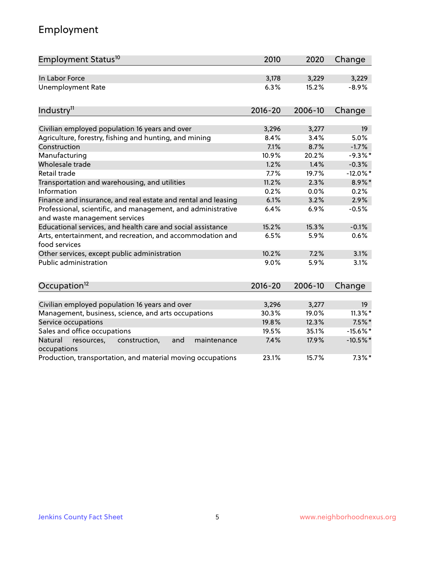# Employment

| Employment Status <sup>10</sup>                                                               | 2010        | 2020    | Change          |
|-----------------------------------------------------------------------------------------------|-------------|---------|-----------------|
| In Labor Force                                                                                | 3,178       | 3,229   | 3,229           |
| <b>Unemployment Rate</b>                                                                      | 6.3%        | 15.2%   | $-8.9%$         |
| Industry <sup>11</sup>                                                                        | $2016 - 20$ | 2006-10 | Change          |
|                                                                                               |             |         |                 |
| Civilian employed population 16 years and over                                                | 3,296       | 3,277   | 19              |
| Agriculture, forestry, fishing and hunting, and mining                                        | 8.4%        | 3.4%    | 5.0%            |
| Construction                                                                                  | 7.1%        | 8.7%    | $-1.7%$         |
| Manufacturing                                                                                 | 10.9%       | 20.2%   | $-9.3%$ *       |
| Wholesale trade                                                                               | 1.2%        | 1.4%    | $-0.3%$         |
| Retail trade                                                                                  | 7.7%        | 19.7%   | $-12.0\%$ *     |
| Transportation and warehousing, and utilities                                                 | 11.2%       | 2.3%    | $8.9\%$ *       |
| Information                                                                                   | 0.2%        | 0.0%    | 0.2%            |
| Finance and insurance, and real estate and rental and leasing                                 | 6.1%        | 3.2%    | 2.9%            |
| Professional, scientific, and management, and administrative<br>and waste management services | 6.4%        | 6.9%    | $-0.5%$         |
| Educational services, and health care and social assistance                                   | 15.2%       | 15.3%   | $-0.1%$         |
| Arts, entertainment, and recreation, and accommodation and<br>food services                   | 6.5%        | 5.9%    | 0.6%            |
| Other services, except public administration                                                  | 10.2%       | 7.2%    | 3.1%            |
| <b>Public administration</b>                                                                  | 9.0%        | 5.9%    | 3.1%            |
| Occupation <sup>12</sup>                                                                      | $2016 - 20$ | 2006-10 | Change          |
|                                                                                               |             |         |                 |
| Civilian employed population 16 years and over                                                | 3,296       | 3,277   | 19 <sup>°</sup> |
| Management, business, science, and arts occupations                                           | 30.3%       | 19.0%   | $11.3\%$ *      |
| Service occupations                                                                           | 19.8%       | 12.3%   | $7.5%$ *        |
| Sales and office occupations                                                                  | 19.5%       | 35.1%   | $-15.6\%$ *     |
| Natural<br>resources,<br>construction,<br>and<br>maintenance<br>occupations                   | 7.4%        | 17.9%   | $-10.5\%$ *     |
| Production, transportation, and material moving occupations                                   | 23.1%       | 15.7%   | $7.3\%$ *       |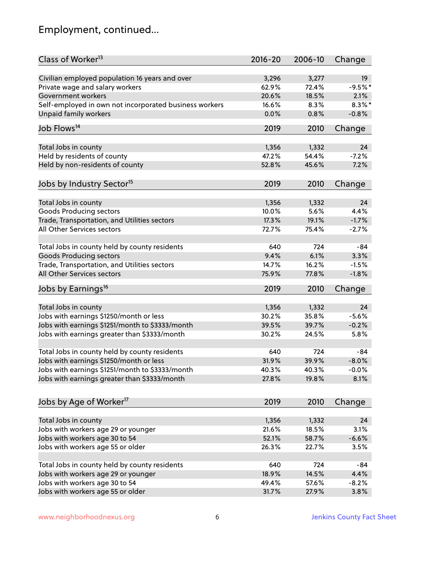# Employment, continued...

| Class of Worker <sup>13</sup>                          | $2016 - 20$ | 2006-10 | Change    |
|--------------------------------------------------------|-------------|---------|-----------|
| Civilian employed population 16 years and over         | 3,296       | 3,277   | 19        |
| Private wage and salary workers                        | 62.9%       | 72.4%   | $-9.5%$ * |
| Government workers                                     | 20.6%       | 18.5%   | 2.1%      |
| Self-employed in own not incorporated business workers | 16.6%       | 8.3%    | $8.3\%$ * |
| Unpaid family workers                                  | 0.0%        | 0.8%    | $-0.8%$   |
|                                                        |             |         |           |
| Job Flows <sup>14</sup>                                | 2019        | 2010    | Change    |
| Total Jobs in county                                   | 1,356       | 1,332   | 24        |
| Held by residents of county                            | 47.2%       | 54.4%   | $-7.2%$   |
| Held by non-residents of county                        | 52.8%       | 45.6%   | 7.2%      |
|                                                        |             |         |           |
| Jobs by Industry Sector <sup>15</sup>                  | 2019        | 2010    | Change    |
| Total Jobs in county                                   | 1,356       | 1,332   | 24        |
| Goods Producing sectors                                | 10.0%       | 5.6%    | 4.4%      |
| Trade, Transportation, and Utilities sectors           | 17.3%       | 19.1%   | $-1.7%$   |
| All Other Services sectors                             | 72.7%       | 75.4%   | $-2.7%$   |
|                                                        |             |         |           |
| Total Jobs in county held by county residents          | 640         | 724     | $-84$     |
| <b>Goods Producing sectors</b>                         | 9.4%        | 6.1%    | 3.3%      |
| Trade, Transportation, and Utilities sectors           | 14.7%       | 16.2%   | $-1.5%$   |
| All Other Services sectors                             | 75.9%       | 77.8%   | $-1.8%$   |
| Jobs by Earnings <sup>16</sup>                         | 2019        | 2010    | Change    |
|                                                        |             |         |           |
| Total Jobs in county                                   | 1,356       | 1,332   | 24        |
| Jobs with earnings \$1250/month or less                | 30.2%       | 35.8%   | $-5.6%$   |
| Jobs with earnings \$1251/month to \$3333/month        | 39.5%       | 39.7%   | $-0.2%$   |
| Jobs with earnings greater than \$3333/month           | 30.2%       | 24.5%   | 5.8%      |
| Total Jobs in county held by county residents          | 640         | 724     | -84       |
| Jobs with earnings \$1250/month or less                | 31.9%       | 39.9%   | $-8.0%$   |
| Jobs with earnings \$1251/month to \$3333/month        | 40.3%       | 40.3%   | $-0.0\%$  |
| Jobs with earnings greater than \$3333/month           | 27.8%       | 19.8%   | 8.1%      |
|                                                        |             |         |           |
| Jobs by Age of Worker <sup>17</sup>                    | 2019        | 2010    | Change    |
|                                                        |             |         |           |
| Total Jobs in county                                   | 1,356       | 1,332   | 24        |
| Jobs with workers age 29 or younger                    | 21.6%       | 18.5%   | 3.1%      |
| Jobs with workers age 30 to 54                         | 52.1%       | 58.7%   | $-6.6%$   |
| Jobs with workers age 55 or older                      | 26.3%       | 22.7%   | 3.5%      |
| Total Jobs in county held by county residents          | 640         | 724     | -84       |
| Jobs with workers age 29 or younger                    | 18.9%       | 14.5%   | 4.4%      |
| Jobs with workers age 30 to 54                         | 49.4%       | 57.6%   | $-8.2%$   |
| Jobs with workers age 55 or older                      | 31.7%       | 27.9%   | 3.8%      |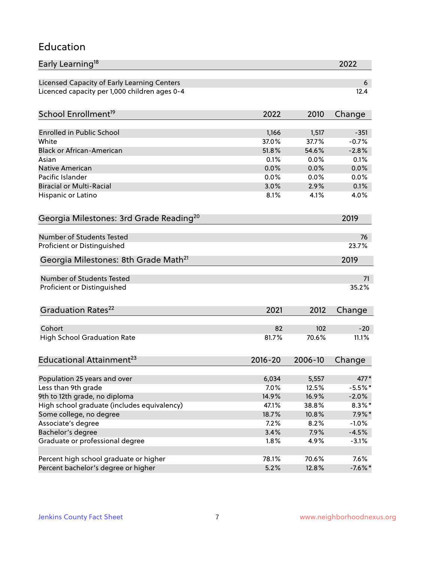#### Education

| Early Learning <sup>18</sup>                        |              |              | 2022         |
|-----------------------------------------------------|--------------|--------------|--------------|
| Licensed Capacity of Early Learning Centers         |              |              | 6            |
| Licenced capacity per 1,000 children ages 0-4       |              |              | 12.4         |
| School Enrollment <sup>19</sup>                     | 2022         | 2010         | Change       |
|                                                     |              |              |              |
| <b>Enrolled in Public School</b>                    | 1,166        | 1,517        | $-351$       |
| White                                               | 37.0%        | 37.7%        | $-0.7%$      |
| <b>Black or African-American</b>                    | 51.8%        | 54.6%        | $-2.8%$      |
| Asian                                               | 0.1%         | 0.0%         | 0.1%         |
| <b>Native American</b><br>Pacific Islander          | 0.0%         | 0.0%         | 0.0%         |
| <b>Biracial or Multi-Racial</b>                     | 0.0%<br>3.0% | 0.0%<br>2.9% | 0.0%<br>0.1% |
|                                                     |              | 4.1%         |              |
| Hispanic or Latino                                  | 8.1%         |              | 4.0%         |
| Georgia Milestones: 3rd Grade Reading <sup>20</sup> |              |              | 2019         |
| Number of Students Tested                           |              |              |              |
|                                                     |              |              | 76<br>23.7%  |
| Proficient or Distinguished                         |              |              |              |
| Georgia Milestones: 8th Grade Math <sup>21</sup>    |              |              | 2019         |
| <b>Number of Students Tested</b>                    |              |              | 71           |
| Proficient or Distinguished                         |              |              | 35.2%        |
| Graduation Rates <sup>22</sup>                      | 2021         | 2012         | Change       |
|                                                     |              |              |              |
| Cohort                                              | 82           | 102          | $-20$        |
| <b>High School Graduation Rate</b>                  | 81.7%        | 70.6%        | 11.1%        |
| Educational Attainment <sup>23</sup>                | $2016 - 20$  | 2006-10      | Change       |
| Population 25 years and over                        | 6,034        | 5,557        | 477*         |
| Less than 9th grade                                 | 7.0%         | 12.5%        | $-5.5%$ *    |
| 9th to 12th grade, no diploma                       | 14.9%        | 16.9%        | $-2.0\%$     |
| High school graduate (includes equivalency)         | 47.1%        | 38.8%        | $8.3\% *$    |
| Some college, no degree                             | 18.7%        | 10.8%        | $7.9\%*$     |
| Associate's degree                                  | 7.2%         | 8.2%         | $-1.0%$      |
| Bachelor's degree                                   | 3.4%         | 7.9%         | $-4.5%$      |
| Graduate or professional degree                     |              |              |              |
|                                                     | 1.8%         | 4.9%         | $-3.1%$      |
| Percent high school graduate or higher              | 78.1%        | 70.6%        | 7.6%         |
| Percent bachelor's degree or higher                 | 5.2%         | 12.8%        | $-7.6\%$ *   |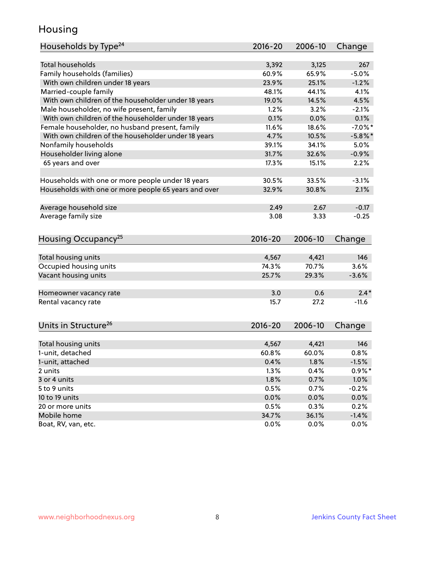### Housing

| Households by Type <sup>24</sup>                     | $2016 - 20$ | 2006-10 | Change     |
|------------------------------------------------------|-------------|---------|------------|
|                                                      |             |         |            |
| Total households                                     | 3,392       | 3,125   | 267        |
| Family households (families)                         | 60.9%       | 65.9%   | $-5.0%$    |
| With own children under 18 years                     | 23.9%       | 25.1%   | $-1.2%$    |
| Married-couple family                                | 48.1%       | 44.1%   | 4.1%       |
| With own children of the householder under 18 years  | 19.0%       | 14.5%   | 4.5%       |
| Male householder, no wife present, family            | 1.2%        | 3.2%    | $-2.1%$    |
| With own children of the householder under 18 years  | 0.1%        | 0.0%    | 0.1%       |
| Female householder, no husband present, family       | 11.6%       | 18.6%   | $-7.0\%$ * |
| With own children of the householder under 18 years  | 4.7%        | 10.5%   | $-5.8\%$ * |
| Nonfamily households                                 | 39.1%       | 34.1%   | 5.0%       |
| Householder living alone                             | 31.7%       | 32.6%   | $-0.9%$    |
| 65 years and over                                    | 17.3%       | 15.1%   | 2.2%       |
| Households with one or more people under 18 years    | 30.5%       | 33.5%   | $-3.1%$    |
| Households with one or more people 65 years and over | 32.9%       | 30.8%   | 2.1%       |
|                                                      |             |         |            |
| Average household size                               | 2.49        | 2.67    | $-0.17$    |
| Average family size                                  | 3.08        | 3.33    | $-0.25$    |
| Housing Occupancy <sup>25</sup>                      | $2016 - 20$ | 2006-10 | Change     |
|                                                      |             |         |            |
| Total housing units                                  | 4,567       | 4,421   | 146        |
| Occupied housing units                               | 74.3%       | 70.7%   | 3.6%       |
| Vacant housing units                                 | 25.7%       | 29.3%   | $-3.6%$    |
| Homeowner vacancy rate                               | 3.0         | 0.6     | $2.4*$     |
| Rental vacancy rate                                  | 15.7        | 27.2    | $-11.6$    |
| Units in Structure <sup>26</sup>                     | 2016-20     | 2006-10 | Change     |
|                                                      |             |         |            |
| Total housing units                                  | 4,567       | 4,421   | 146        |
| 1-unit, detached                                     | 60.8%       | 60.0%   | 0.8%       |
| 1-unit, attached                                     | 0.4%        | 1.8%    | $-1.5%$    |
| 2 units                                              | 1.3%        | 0.4%    | $0.9\%$ *  |
| 3 or 4 units                                         | 1.8%        | 0.7%    | 1.0%       |
| 5 to 9 units                                         | 0.5%        | 0.7%    | $-0.2%$    |
| 10 to 19 units                                       | 0.0%        | 0.0%    | 0.0%       |
| 20 or more units                                     | 0.5%        | 0.3%    | 0.2%       |
| Mobile home                                          | 34.7%       | 36.1%   | $-1.4%$    |
| Boat, RV, van, etc.                                  | 0.0%        | 0.0%    | $0.0\%$    |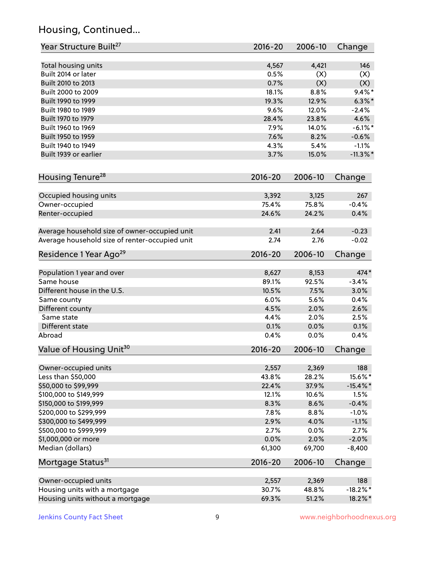# Housing, Continued...

| Year Structure Built <sup>27</sup>             | 2016-20     | 2006-10 | Change      |
|------------------------------------------------|-------------|---------|-------------|
| Total housing units                            | 4,567       | 4,421   | 146         |
| Built 2014 or later                            | 0.5%        | (X)     | (X)         |
| Built 2010 to 2013                             | 0.7%        | (X)     | (X)         |
| Built 2000 to 2009                             | 18.1%       | 8.8%    | $9.4\%$ *   |
| Built 1990 to 1999                             | 19.3%       | 12.9%   | $6.3\%$ *   |
| Built 1980 to 1989                             | 9.6%        | 12.0%   | $-2.4%$     |
| Built 1970 to 1979                             | 28.4%       | 23.8%   | 4.6%        |
| Built 1960 to 1969                             | 7.9%        | 14.0%   | $-6.1\%$ *  |
| Built 1950 to 1959                             | 7.6%        | 8.2%    | $-0.6%$     |
| Built 1940 to 1949                             | 4.3%        | 5.4%    | $-1.1%$     |
| Built 1939 or earlier                          | 3.7%        | 15.0%   | $-11.3\%$ * |
|                                                |             |         |             |
| Housing Tenure <sup>28</sup>                   | $2016 - 20$ | 2006-10 | Change      |
| Occupied housing units                         | 3,392       | 3,125   | 267         |
| Owner-occupied                                 | 75.4%       | 75.8%   | $-0.4%$     |
| Renter-occupied                                | 24.6%       | 24.2%   | 0.4%        |
| Average household size of owner-occupied unit  | 2.41        | 2.64    | $-0.23$     |
| Average household size of renter-occupied unit | 2.74        | 2.76    | $-0.02$     |
| Residence 1 Year Ago <sup>29</sup>             | 2016-20     | 2006-10 | Change      |
|                                                |             |         |             |
| Population 1 year and over                     | 8,627       | 8,153   | 474*        |
| Same house                                     | 89.1%       | 92.5%   | $-3.4%$     |
| Different house in the U.S.                    | 10.5%       | 7.5%    | 3.0%        |
| Same county                                    | 6.0%        | 5.6%    | 0.4%        |
| Different county                               | 4.5%        | 2.0%    | 2.6%        |
| Same state                                     | 4.4%        | 2.0%    | 2.5%        |
| Different state                                | 0.1%        | 0.0%    | 0.1%        |
| Abroad                                         | 0.4%        | 0.0%    | 0.4%        |
| Value of Housing Unit <sup>30</sup>            | $2016 - 20$ | 2006-10 | Change      |
| Owner-occupied units                           | 2,557       | 2,369   | 188         |
| Less than \$50,000                             | 43.8%       | 28.2%   | 15.6%*      |
| \$50,000 to \$99,999                           | 22.4%       | 37.9%   | $-15.4\%$ * |
| \$100,000 to \$149,999                         | 12.1%       | 10.6%   | 1.5%        |
| \$150,000 to \$199,999                         | 8.3%        | 8.6%    | $-0.4%$     |
| \$200,000 to \$299,999                         | 7.8%        | 8.8%    | $-1.0%$     |
| \$300,000 to \$499,999                         | 2.9%        | 4.0%    | $-1.1%$     |
| \$500,000 to \$999,999                         | 2.7%        | 0.0%    | 2.7%        |
| \$1,000,000 or more                            | 0.0%        | 2.0%    | $-2.0%$     |
| Median (dollars)                               | 61,300      | 69,700  | $-8,400$    |
| Mortgage Status <sup>31</sup>                  | 2016-20     | 2006-10 | Change      |
|                                                |             |         |             |
| Owner-occupied units                           | 2,557       | 2,369   | 188         |
| Housing units with a mortgage                  | 30.7%       | 48.8%   | $-18.2\%$ * |
| Housing units without a mortgage               | 69.3%       | 51.2%   | 18.2%*      |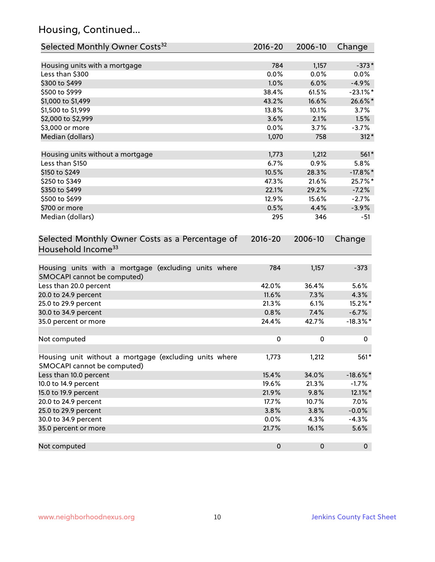# Housing, Continued...

| Selected Monthly Owner Costs <sup>32</sup>                                            | 2016-20     | 2006-10 | Change      |
|---------------------------------------------------------------------------------------|-------------|---------|-------------|
| Housing units with a mortgage                                                         | 784         | 1,157   | $-373*$     |
| Less than \$300                                                                       | 0.0%        | 0.0%    | $0.0\%$     |
| \$300 to \$499                                                                        | 1.0%        | 6.0%    | $-4.9%$     |
| \$500 to \$999                                                                        | 38.4%       | 61.5%   | $-23.1\%$ * |
| \$1,000 to \$1,499                                                                    | 43.2%       | 16.6%   | 26.6%*      |
| \$1,500 to \$1,999                                                                    | 13.8%       | 10.1%   | 3.7%        |
| \$2,000 to \$2,999                                                                    | 3.6%        | 2.1%    | 1.5%        |
| \$3,000 or more                                                                       | 0.0%        | 3.7%    | $-3.7%$     |
| Median (dollars)                                                                      | 1,070       | 758     | $312*$      |
|                                                                                       |             |         |             |
| Housing units without a mortgage                                                      | 1,773       | 1,212   | 561*        |
| Less than \$150                                                                       | 6.7%        | 0.9%    | 5.8%        |
| \$150 to \$249                                                                        | 10.5%       | 28.3%   | $-17.8\%$ * |
| \$250 to \$349                                                                        | 47.3%       | 21.6%   | 25.7%*      |
| \$350 to \$499                                                                        | 22.1%       | 29.2%   | $-7.2%$     |
| \$500 to \$699                                                                        | 12.9%       | 15.6%   | $-2.7%$     |
| \$700 or more                                                                         | 0.5%        | 4.4%    | $-3.9%$     |
| Median (dollars)                                                                      | 295         | 346     | $-51$       |
| Selected Monthly Owner Costs as a Percentage of<br>Household Income <sup>33</sup>     | $2016 - 20$ | 2006-10 | Change      |
| Housing units with a mortgage (excluding units where<br>SMOCAPI cannot be computed)   | 784         | 1,157   | $-373$      |
| Less than 20.0 percent                                                                | 42.0%       | 36.4%   | 5.6%        |
| 20.0 to 24.9 percent                                                                  | 11.6%       | 7.3%    | 4.3%        |
| 25.0 to 29.9 percent                                                                  | 21.3%       | 6.1%    | 15.2%*      |
| 30.0 to 34.9 percent                                                                  | 0.8%        | 7.4%    | $-6.7%$     |
| 35.0 percent or more                                                                  | 24.4%       | 42.7%   | $-18.3\%$ * |
| Not computed                                                                          | $\pmb{0}$   | 0       | 0           |
| Housing unit without a mortgage (excluding units where<br>SMOCAPI cannot be computed) | 1,773       | 1,212   | 561*        |
| Less than 10.0 percent                                                                | 15.4%       | 34.0%   | $-18.6\%$ * |
| 10.0 to 14.9 percent                                                                  | 19.6%       | 21.3%   | $-1.7%$     |
| 15.0 to 19.9 percent                                                                  | 21.9%       | 9.8%    | 12.1%*      |
| 20.0 to 24.9 percent                                                                  | 17.7%       | 10.7%   | 7.0%        |
| 25.0 to 29.9 percent                                                                  | 3.8%        | 3.8%    | $-0.0%$     |
| 30.0 to 34.9 percent                                                                  | 0.0%        | 4.3%    | $-4.3%$     |
| 35.0 percent or more                                                                  | 21.7%       | 16.1%   | 5.6%        |
| Not computed                                                                          | $\pmb{0}$   | 0       | $\mathbf 0$ |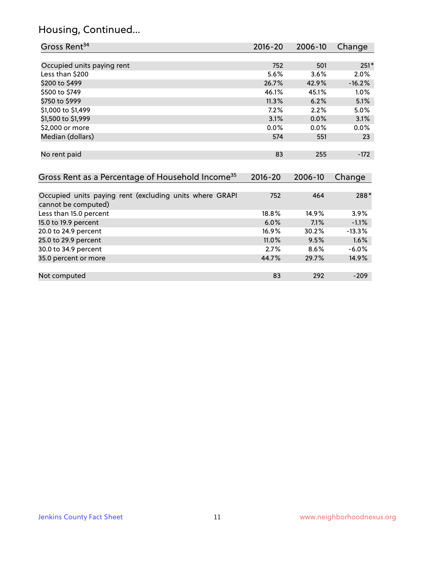### Housing, Continued...

| Gross Rent <sup>34</sup>                                     | $2016 - 20$ | 2006-10 | Change   |
|--------------------------------------------------------------|-------------|---------|----------|
|                                                              |             |         |          |
| Occupied units paying rent                                   | 752         | 501     | $251*$   |
| Less than \$200                                              | 5.6%        | 3.6%    | 2.0%     |
| \$200 to \$499                                               | 26.7%       | 42.9%   | $-16.2%$ |
| \$500 to \$749                                               | 46.1%       | 45.1%   | $1.0\%$  |
| \$750 to \$999                                               | 11.3%       | 6.2%    | 5.1%     |
| \$1,000 to \$1,499                                           | 7.2%        | 2.2%    | 5.0%     |
| \$1,500 to \$1,999                                           | 3.1%        | 0.0%    | 3.1%     |
| \$2,000 or more                                              | 0.0%        | $0.0\%$ | 0.0%     |
| Median (dollars)                                             | 574         | 551     | 23       |
|                                                              |             |         |          |
| No rent paid                                                 | 83          | 255     | $-172$   |
|                                                              |             |         |          |
| Gross Rent as a Percentage of Household Income <sup>35</sup> | $2016 - 20$ | 2006-10 | Change   |
|                                                              |             |         |          |
| Occupied units paying rent (excluding units where GRAPI      | 752         | 464     | 288*     |
| cannot be computed)                                          |             |         |          |
| Less than 15.0 percent                                       | 18.8%       | 14.9%   | 3.9%     |
| 15.0 to 19.9 percent                                         | 6.0%        | 7.1%    | $-1.1%$  |
| 20.0 to 24.9 percent                                         | 16.9%       | 30.2%   | $-13.3%$ |
| 25.0 to 29.9 percent                                         | 11.0%       | 9.5%    | 1.6%     |

| 30.0 to 34.9 percent | 2.7%  | 8.6%  | $-6.0\%$ |
|----------------------|-------|-------|----------|
| 35.0 percent or more | 44.7% | 29.7% | $14.9\%$ |
|                      |       |       |          |
| Not computed         |       | 292   | $-209$   |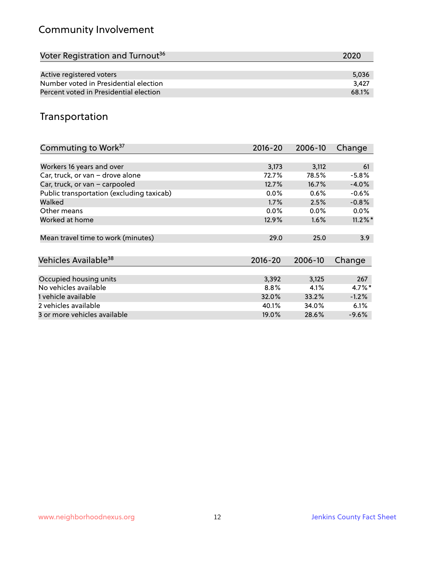# Community Involvement

| Voter Registration and Turnout <sup>36</sup> | 2020  |
|----------------------------------------------|-------|
|                                              |       |
| Active registered voters                     | 5,036 |
| Number voted in Presidential election        | 3.427 |
| Percent voted in Presidential election       | 68.1% |

## Transportation

| Commuting to Work <sup>37</sup>           | 2016-20 | 2006-10 | Change     |
|-------------------------------------------|---------|---------|------------|
|                                           |         |         |            |
| Workers 16 years and over                 | 3,173   | 3,112   | 61         |
| Car, truck, or van - drove alone          | 72.7%   | 78.5%   | $-5.8%$    |
| Car, truck, or van - carpooled            | 12.7%   | 16.7%   | $-4.0%$    |
| Public transportation (excluding taxicab) | $0.0\%$ | 0.6%    | $-0.6%$    |
| Walked                                    | $1.7\%$ | 2.5%    | $-0.8%$    |
| Other means                               | $0.0\%$ | $0.0\%$ | $0.0\%$    |
| Worked at home                            | 12.9%   | 1.6%    | $11.2\%$ * |
|                                           |         |         |            |
| Mean travel time to work (minutes)        | 29.0    | 25.0    | 3.9        |
|                                           |         |         |            |
| Vehicles Available <sup>38</sup>          | 2016-20 | 2006-10 | Change     |
|                                           |         |         |            |
| Occupied housing units                    | 3,392   | 3,125   | 267        |
| No vehicles available                     | 8.8%    | 4.1%    | $4.7\%$ *  |
| 1 vehicle available                       | 32.0%   | 33.2%   | $-1.2%$    |
| 2 vehicles available                      | 40.1%   | 34.0%   | 6.1%       |
| 3 or more vehicles available              | 19.0%   | 28.6%   | $-9.6\%$   |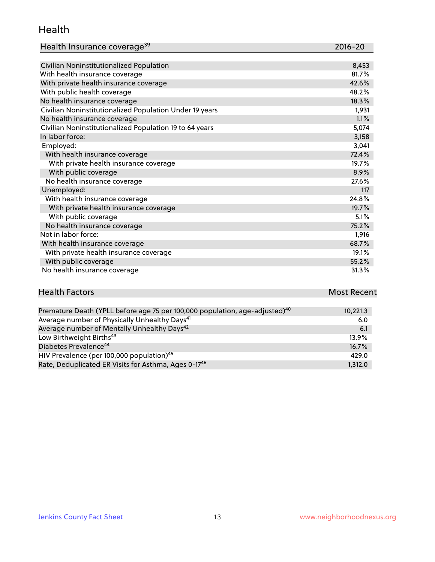#### Health

| Health Insurance coverage <sup>39</sup> | 2016-20 |
|-----------------------------------------|---------|
|-----------------------------------------|---------|

| Civilian Noninstitutionalized Population                | 8,453 |
|---------------------------------------------------------|-------|
| With health insurance coverage                          | 81.7% |
| With private health insurance coverage                  | 42.6% |
| With public health coverage                             | 48.2% |
| No health insurance coverage                            | 18.3% |
| Civilian Noninstitutionalized Population Under 19 years | 1,931 |
| No health insurance coverage                            | 1.1%  |
| Civilian Noninstitutionalized Population 19 to 64 years | 5,074 |
| In labor force:                                         | 3,158 |
| Employed:                                               | 3,041 |
| With health insurance coverage                          | 72.4% |
| With private health insurance coverage                  | 19.7% |
| With public coverage                                    | 8.9%  |
| No health insurance coverage                            | 27.6% |
| Unemployed:                                             | 117   |
| With health insurance coverage                          | 24.8% |
| With private health insurance coverage                  | 19.7% |
| With public coverage                                    | 5.1%  |
| No health insurance coverage                            | 75.2% |
| Not in labor force:                                     | 1,916 |
| With health insurance coverage                          | 68.7% |
| With private health insurance coverage                  | 19.1% |
| With public coverage                                    | 55.2% |
| No health insurance coverage                            | 31.3% |

| <b>Health Factors</b> | <b>Most Recent</b> |
|-----------------------|--------------------|
|                       |                    |

| Premature Death (YPLL before age 75 per 100,000 population, age-adjusted) <sup>40</sup> | 10,221.3 |
|-----------------------------------------------------------------------------------------|----------|
| Average number of Physically Unhealthy Days <sup>41</sup>                               | 6.0      |
| Average number of Mentally Unhealthy Days <sup>42</sup>                                 | 6.1      |
| Low Birthweight Births <sup>43</sup>                                                    | $13.9\%$ |
| Diabetes Prevalence <sup>44</sup>                                                       | 16.7%    |
| HIV Prevalence (per 100,000 population) <sup>45</sup>                                   | 429.0    |
| Rate, Deduplicated ER Visits for Asthma, Ages 0-17 <sup>46</sup>                        | 1,312.0  |